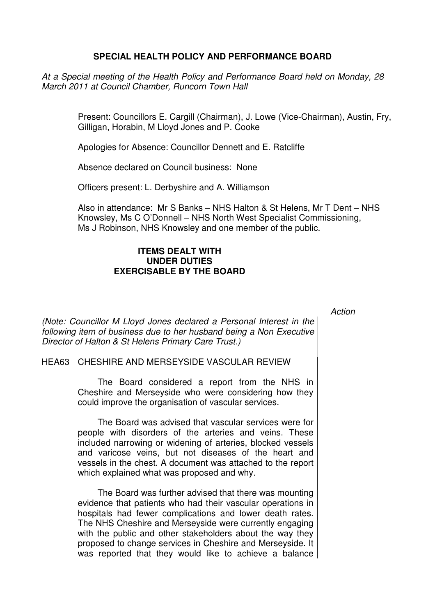## **SPECIAL HEALTH POLICY AND PERFORMANCE BOARD**

At a Special meeting of the Health Policy and Performance Board held on Monday, 28 March 2011 at Council Chamber, Runcorn Town Hall

> Present: Councillors E. Cargill (Chairman), J. Lowe (Vice-Chairman), Austin, Fry, Gilligan, Horabin, M Lloyd Jones and P. Cooke

Apologies for Absence: Councillor Dennett and E. Ratcliffe

Absence declared on Council business: None

Officers present: L. Derbyshire and A. Williamson

Also in attendance: Mr S Banks – NHS Halton & St Helens, Mr T Dent – NHS Knowsley, Ms C O'Donnell – NHS North West Specialist Commissioning, Ms J Robinson, NHS Knowsley and one member of the public.

## **ITEMS DEALT WITH UNDER DUTIES EXERCISABLE BY THE BOARD**

**Action** 

(Note: Councillor M Lloyd Jones declared a Personal Interest in the following item of business due to her husband being a Non Executive Director of Halton & St Helens Primary Care Trust.)

## HEA63 CHESHIRE AND MERSEYSIDE VASCULAR REVIEW

 The Board considered a report from the NHS in Cheshire and Merseyside who were considering how they could improve the organisation of vascular services.

The Board was advised that vascular services were for people with disorders of the arteries and veins. These included narrowing or widening of arteries, blocked vessels and varicose veins, but not diseases of the heart and vessels in the chest. A document was attached to the report which explained what was proposed and why.

The Board was further advised that there was mounting evidence that patients who had their vascular operations in hospitals had fewer complications and lower death rates. The NHS Cheshire and Merseyside were currently engaging with the public and other stakeholders about the way they proposed to change services in Cheshire and Merseyside. It was reported that they would like to achieve a balance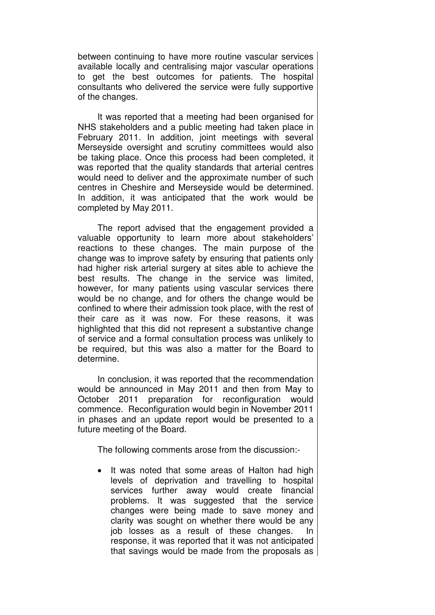between continuing to have more routine vascular services available locally and centralising major vascular operations to get the best outcomes for patients. The hospital consultants who delivered the service were fully supportive of the changes.

It was reported that a meeting had been organised for NHS stakeholders and a public meeting had taken place in February 2011. In addition, joint meetings with several Merseyside oversight and scrutiny committees would also be taking place. Once this process had been completed, it was reported that the quality standards that arterial centres would need to deliver and the approximate number of such centres in Cheshire and Merseyside would be determined. In addition, it was anticipated that the work would be completed by May 2011.

The report advised that the engagement provided a valuable opportunity to learn more about stakeholders' reactions to these changes. The main purpose of the change was to improve safety by ensuring that patients only had higher risk arterial surgery at sites able to achieve the best results. The change in the service was limited, however, for many patients using vascular services there would be no change, and for others the change would be confined to where their admission took place, with the rest of their care as it was now. For these reasons, it was highlighted that this did not represent a substantive change of service and a formal consultation process was unlikely to be required, but this was also a matter for the Board to determine.

In conclusion, it was reported that the recommendation would be announced in May 2011 and then from May to October 2011 preparation for reconfiguration would commence. Reconfiguration would begin in November 2011 in phases and an update report would be presented to a future meeting of the Board.

The following comments arose from the discussion:-

It was noted that some areas of Halton had high levels of deprivation and travelling to hospital services further away would create financial problems. It was suggested that the service changes were being made to save money and clarity was sought on whether there would be any iob losses as a result of these changes. In response, it was reported that it was not anticipated that savings would be made from the proposals as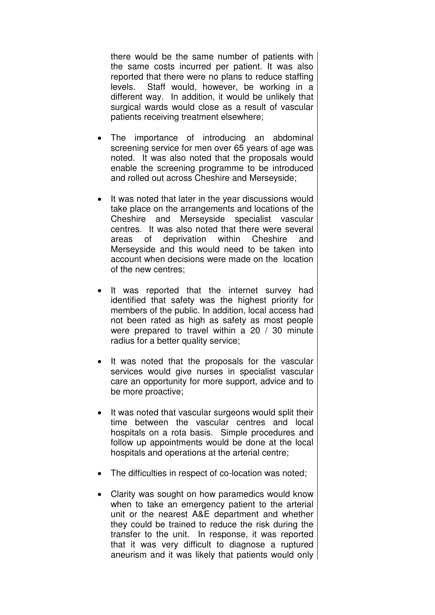there would be the same number of patients with the same costs incurred per patient. It was also reported that there were no plans to reduce staffing levels. Staff would, however, be working in a different way. In addition, it would be unlikely that surgical wards would close as a result of vascular patients receiving treatment elsewhere;

- The importance of introducing an abdominal screening service for men over 65 years of age was noted. It was also noted that the proposals would enable the screening programme to be introduced and rolled out across Cheshire and Merseyside;
- It was noted that later in the year discussions would take place on the arrangements and locations of the Cheshire and Merseyside specialist vascular centres. It was also noted that there were several areas of deprivation within Cheshire and Merseyside and this would need to be taken into account when decisions were made on the location of the new centres;
- It was reported that the internet survey had identified that safety was the highest priority for members of the public. In addition, local access had not been rated as high as safety as most people were prepared to travel within a 20 / 30 minute radius for a better quality service;
- It was noted that the proposals for the vascular services would give nurses in specialist vascular care an opportunity for more support, advice and to be more proactive;
- It was noted that vascular surgeons would split their time between the vascular centres and local hospitals on a rota basis. Simple procedures and follow up appointments would be done at the local hospitals and operations at the arterial centre;
- The difficulties in respect of co-location was noted;
- Clarity was sought on how paramedics would know when to take an emergency patient to the arterial unit or the nearest A&E department and whether they could be trained to reduce the risk during the transfer to the unit. In response, it was reported that it was very difficult to diagnose a ruptured aneurism and it was likely that patients would only